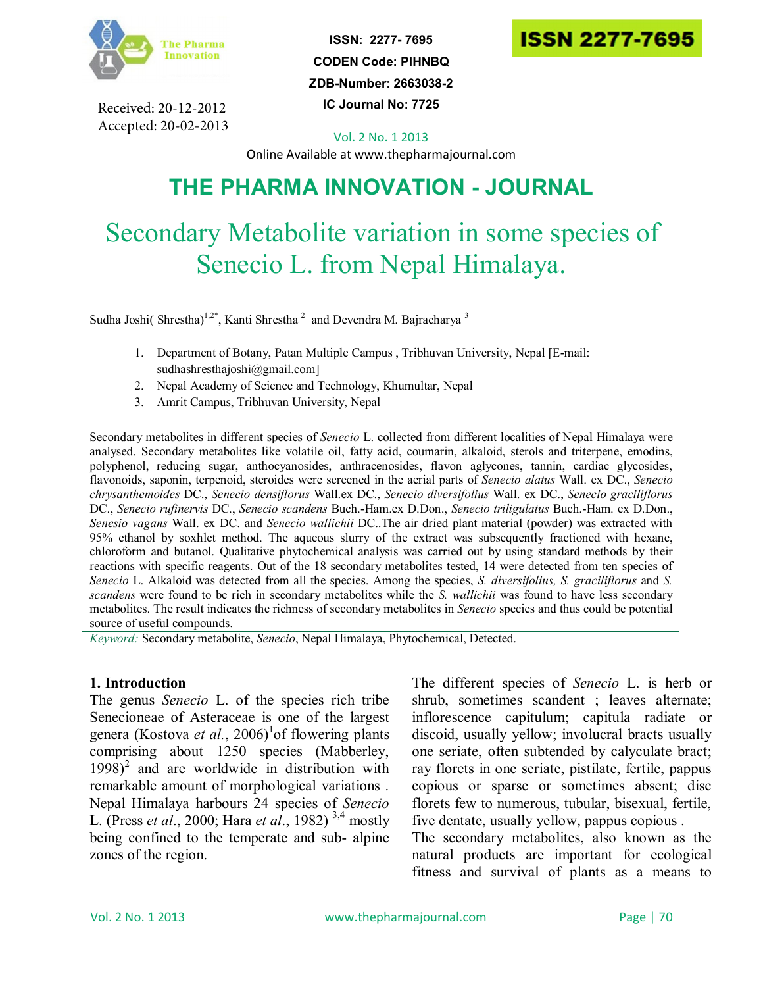

Received: 20-12-2012 Accepted: 20-02-2013

**ISSN: 2277- 7695 CODEN Code: PIHNBQ ZDB-Number: 2663038-2 IC Journal No: 7725**



Vol. 2 No. 1 2013

Online Available at www.thepharmajournal.com

# **THE PHARMA INNOVATION - JOURNAL**

# Secondary Metabolite variation in some species of Senecio L. from Nepal Himalaya.

Sudha Joshi( Shrestha)<sup>1,2\*</sup>, Kanti Shrestha<sup>2</sup> and Devendra M. Bajracharya<sup>3</sup>

- 1. Department of Botany, Patan Multiple Campus , Tribhuvan University, Nepal [E-mail: sudhashresthajoshi@gmail.com]
- 2. Nepal Academy of Science and Technology, Khumultar, Nepal
- 3. Amrit Campus, Tribhuvan University, Nepal

Secondary metabolites in different species of *Senecio* L. collected from different localities of Nepal Himalaya were analysed. Secondary metabolites like volatile oil, fatty acid, coumarin, alkaloid, sterols and triterpene, emodins, polyphenol, reducing sugar, anthocyanosides, anthracenosides, flavon aglycones, tannin, cardiac glycosides, flavonoids, saponin, terpenoid, steroides were screened in the aerial parts of *Senecio alatus* Wall. ex DC., *Senecio chrysanthemoides* DC., *Senecio densiflorus* Wall.ex DC., *Senecio diversifolius* Wall. ex DC., *Senecio graciliflorus* DC., *Senecio rufinervis* DC., *Senecio scandens* Buch.-Ham.ex D.Don., *Senecio triligulatus* Buch.-Ham. ex D.Don., *Senesio vagans* Wall. ex DC. and *Senecio wallichii* DC..The air dried plant material (powder) was extracted with 95% ethanol by soxhlet method. The aqueous slurry of the extract was subsequently fractioned with hexane, chloroform and butanol. Qualitative phytochemical analysis was carried out by using standard methods by their reactions with specific reagents. Out of the 18 secondary metabolites tested, 14 were detected from ten species of *Senecio* L. Alkaloid was detected from all the species. Among the species, *S. diversifolius, S. graciliflorus* and *S. scandens* were found to be rich in secondary metabolites while the *S. wallichii* was found to have less secondary metabolites. The result indicates the richness of secondary metabolites in *Senecio* species and thus could be potential source of useful compounds.

*Keyword:* Secondary metabolite, *Senecio*, Nepal Himalaya, Phytochemical, Detected.

#### **1. Introduction**

The genus *Senecio* L. of the species rich tribe Senecioneae of Asteraceae is one of the largest genera (Kostova et al., 2006)<sup>1</sup> of flowering plants comprising about 1250 species (Mabberley,  $1998)^2$  and are worldwide in distribution with remarkable amount of morphological variations . Nepal Himalaya harbours 24 species of *Senecio* L. (Press *et al*., 2000; Hara *et al*., 1982) 3,4 mostly being confined to the temperate and sub- alpine zones of the region.

The different species of *Senecio* L. is herb or shrub, sometimes scandent ; leaves alternate; inflorescence capitulum; capitula radiate or discoid, usually yellow; involucral bracts usually one seriate, often subtended by calyculate bract; ray florets in one seriate, pistilate, fertile, pappus copious or sparse or sometimes absent; disc florets few to numerous, tubular, bisexual, fertile, five dentate, usually yellow, pappus copious .

The secondary metabolites, also known as the natural products are important for ecological fitness and survival of plants as a means to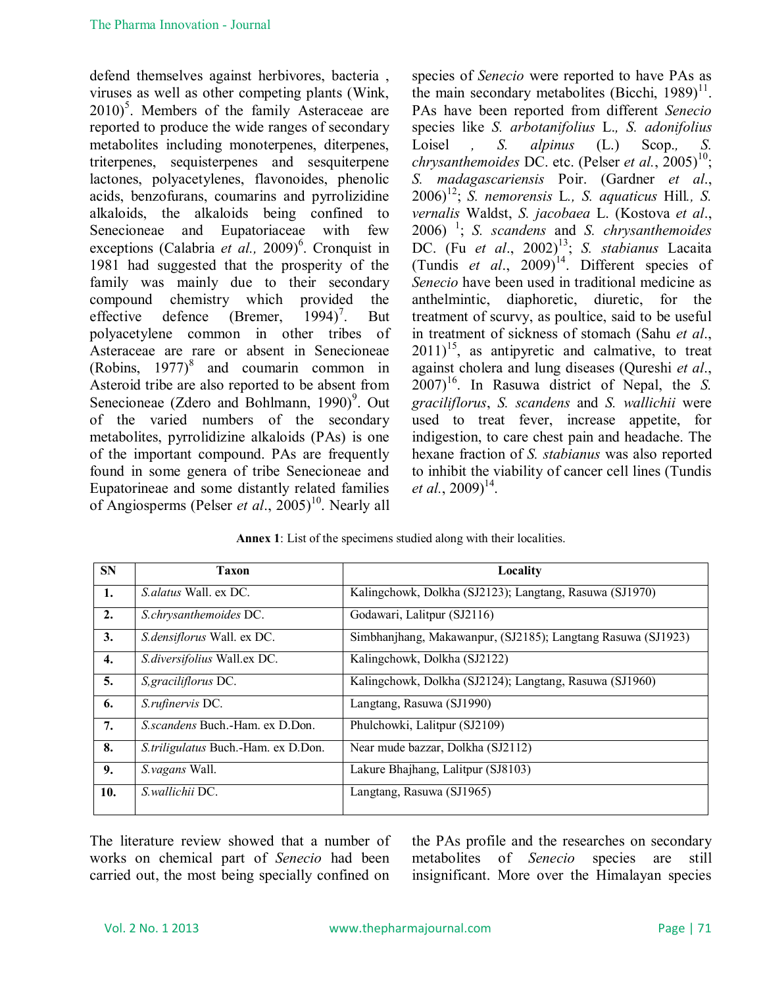defend themselves against herbivores, bacteria , viruses as well as other competing plants (Wink,  $2010$ <sup>5</sup>. Members of the family Asteraceae are reported to produce the wide ranges of secondary metabolites including monoterpenes, diterpenes, triterpenes, sequisterpenes and sesquiterpene lactones, polyacetylenes, flavonoides, phenolic acids, benzofurans, coumarins and pyrrolizidine alkaloids, the alkaloids being confined to Senecioneae and Eupatoriaceae with few exceptions (Calabria et al., 2009)<sup>6</sup>. Cronquist in 1981 had suggested that the prosperity of the family was mainly due to their secondary compound chemistry which provided the effective defence (Bremer,  $1994$ )<sup>7</sup>. . But polyacetylene common in other tribes of Asteraceae are rare or absent in Senecioneae (Robins,  $1977$ )<sup>8</sup> and coumarin common in Asteroid tribe are also reported to be absent from Senecioneae (Zdero and Bohlmann, 1990)<sup>9</sup>. Out of the varied numbers of the secondary metabolites, pyrrolidizine alkaloids (PAs) is one of the important compound. PAs are frequently found in some genera of tribe Senecioneae and Eupatorineae and some distantly related families of Angiosperms (Pelser *et al.*, 2005)<sup>10</sup>. Nearly all species of *Senecio* were reported to have PAs as the main secondary metabolites (Bicchi,  $1989$ )<sup>11</sup>. PAs have been reported from different *Senecio* species like *S. arbotanifolius* L.*, S. adonifolius*  Loisel *, S. alpinus* (L.) Scop., *S. chrysanthemoides* DC. etc. (Pelser *et al.*, 2005)<sup>10</sup>; *S. madagascariensis* Poir. (Gardner *et al*.,  $2006$ <sup>12</sup>; *S. nemorensis* L., *S. aquaticus* Hill., *S. vernalis* Waldst, *S. jacobaea* L. (Kostova *et al*.,  $2006$ )<sup>1</sup>; *S. scandens* and *S. chrysanthemoides* DC. (Fu et al., 2002)<sup>13</sup>; *S. stabianus* Lacaita (Tundis *et al.*, 2009)<sup>14</sup>. Different species of *Senecio* have been used in traditional medicine as anthelmintic, diaphoretic, diuretic, for the treatment of scurvy, as poultice, said to be useful in treatment of sickness of stomach (Sahu *et al*.,  $2011$ <sup>15</sup>, as antipyretic and calmative, to treat against cholera and lung diseases (Qureshi *et al*.,  $2007$ <sup>16</sup>. In Rasuwa district of Nepal, the *S*. *graciliflorus*, *S. scandens* and *S. wallichii* were used to treat fever, increase appetite, for indigestion, to care chest pain and headache. The hexane fraction of *S. stabianus* was also reported to inhibit the viability of cancer cell lines (Tundis *et al.*,  $2009)^{14}$ .

| <b>SN</b>    | Taxon                               | Locality                                                     |
|--------------|-------------------------------------|--------------------------------------------------------------|
| 1.           | <i>S alatus</i> Wall ex DC.         | Kalingchowk, Dolkha (SJ2123); Langtang, Rasuwa (SJ1970)      |
| 2.           | S.chrysanthemoides DC.              | Godawari, Lalitpur (SJ2116)                                  |
| 3.           | S.densiflorus Wall. ex DC.          | Simbhanjhang, Makawanpur, (SJ2185); Langtang Rasuwa (SJ1923) |
| $\mathbf{4}$ | S.diversifolius Wall.ex DC.         | Kalingchowk, Dolkha (SJ2122)                                 |
| 5.           | S, graciliflorus DC.                | Kalingchowk, Dolkha (SJ2124); Langtang, Rasuwa (SJ1960)      |
| 6.           | S.rufinervis DC.                    | Langtang, Rasuwa (SJ1990)                                    |
| 7.           | S.scandens Buch.-Ham. ex D.Don.     | Phulchowki, Lalitpur (SJ2109)                                |
| 8.           | S.triligulatus Buch.-Ham. ex D.Don. | Near mude bazzar, Dolkha (SJ2112)                            |
| 9.           | S. vagans Wall.                     | Lakure Bhajhang, Lalitpur (SJ8103)                           |
| 10.          | S. wallichii DC.                    | Langtang, Rasuwa (SJ1965)                                    |

**Annex 1**: List of the specimens studied along with their localities.

The literature review showed that a number of works on chemical part of *Senecio* had been carried out, the most being specially confined on the PAs profile and the researches on secondary metabolites of *Senecio* species are still insignificant. More over the Himalayan species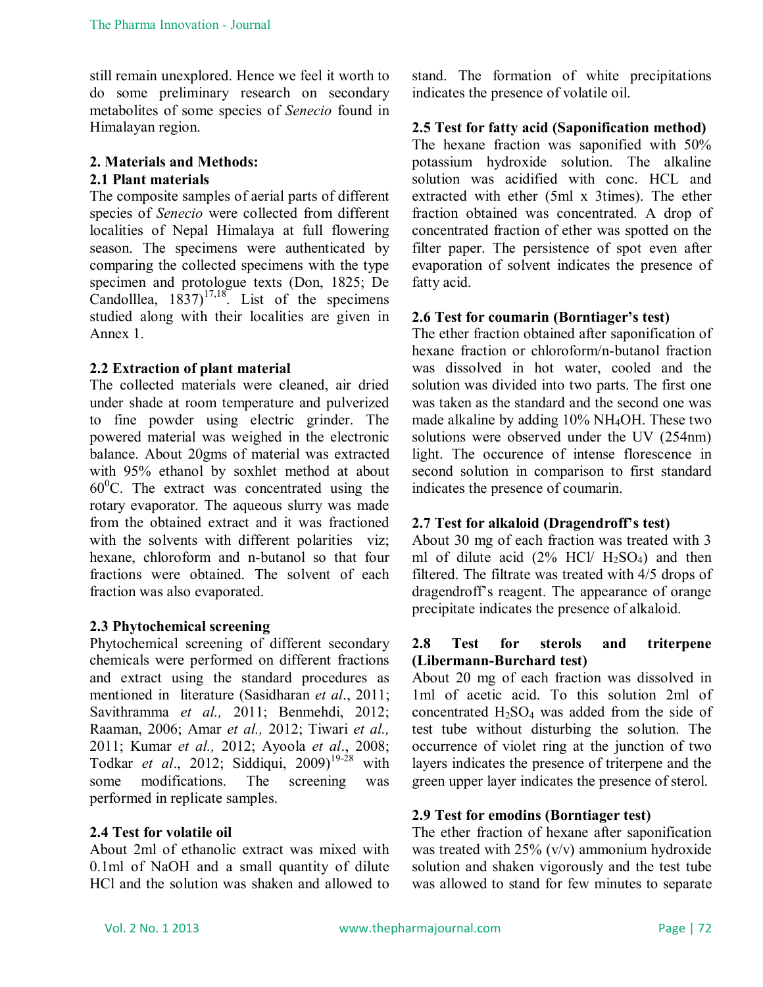still remain unexplored. Hence we feel it worth to do some preliminary research on secondary metabolites of some species of *Senecio* found in Himalayan region.

# **2. Materials and Methods: 2.1 Plant materials**

The composite samples of aerial parts of different species of *Senecio* were collected from different localities of Nepal Himalaya at full flowering season. The specimens were authenticated by comparing the collected specimens with the type specimen and protologue texts (Don, 1825; De Candolllea,  $1837$ <sup>17,18</sup>. List of the specimens studied along with their localities are given in Annex 1.

# **2.2 Extraction of plant material**

The collected materials were cleaned, air dried under shade at room temperature and pulverized to fine powder using electric grinder. The powered material was weighed in the electronic balance. About 20gms of material was extracted with 95% ethanol by soxhlet method at about  $60^{\circ}$ C. The extract was concentrated using the rotary evaporator. The aqueous slurry was made from the obtained extract and it was fractioned with the solvents with different polarities viz: hexane, chloroform and n-butanol so that four fractions were obtained. The solvent of each fraction was also evaporated.

# **2.3 Phytochemical screening**

Phytochemical screening of different secondary chemicals were performed on different fractions and extract using the standard procedures as mentioned in literature (Sasidharan *et al*., 2011; Savithramma *et al.,* 2011; Benmehdi, 2012; Raaman, 2006; Amar *et al.,* 2012; Tiwari *et al.,* 2011; Kumar *et al.,* 2012; Ayoola *et al*., 2008; Todkar *et al.*, 2012; Siddiqui, 2009)<sup>19-28</sup> with some modifications. The screening was performed in replicate samples.

# **2.4 Test for volatile oil**

About 2ml of ethanolic extract was mixed with 0.1ml of NaOH and a small quantity of dilute HCl and the solution was shaken and allowed to stand. The formation of white precipitations indicates the presence of volatile oil.

# **2.5 Test for fatty acid (Saponification method)**

The hexane fraction was saponified with 50% potassium hydroxide solution. The alkaline solution was acidified with conc. HCL and extracted with ether (5ml x 3times). The ether fraction obtained was concentrated. A drop of concentrated fraction of ether was spotted on the filter paper. The persistence of spot even after evaporation of solvent indicates the presence of fatty acid.

# **2.6 Test for coumarin (Borntiager's test)**

The ether fraction obtained after saponification of hexane fraction or chloroform/n-butanol fraction was dissolved in hot water, cooled and the solution was divided into two parts. The first one was taken as the standard and the second one was made alkaline by adding 10% NH4OH. These two solutions were observed under the UV (254nm) light. The occurence of intense florescence in second solution in comparison to first standard indicates the presence of coumarin.

# **2.7 Test for alkaloid (Dragendroff's test)**

About 30 mg of each fraction was treated with 3 ml of dilute acid  $(2\% \text{ HCl} / \text{H}_2\text{SO}_4)$  and then filtered. The filtrate was treated with 4/5 drops of dragendroff's reagent. The appearance of orange precipitate indicates the presence of alkaloid.

#### **2.8 Test for sterols and triterpene (Libermann-Burchard test)**

About 20 mg of each fraction was dissolved in 1ml of acetic acid. To this solution 2ml of concentrated  $H_2SO_4$  was added from the side of test tube without disturbing the solution. The occurrence of violet ring at the junction of two layers indicates the presence of triterpene and the green upper layer indicates the presence of sterol.

# **2.9 Test for emodins (Borntiager test)**

The ether fraction of hexane after saponification was treated with 25% (v/v) ammonium hydroxide solution and shaken vigorously and the test tube was allowed to stand for few minutes to separate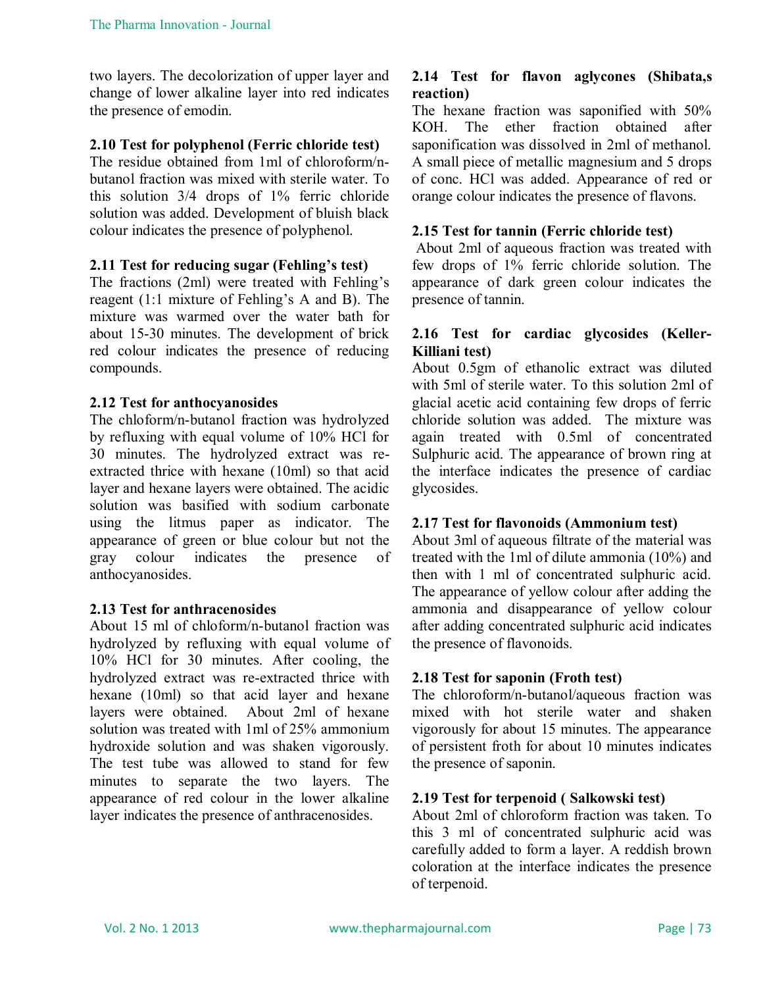two layers. The decolorization of upper layer and change of lower alkaline layer into red indicates the presence of emodin.

### **2.10 Test for polyphenol (Ferric chloride test)**

The residue obtained from 1ml of chloroform/nbutanol fraction was mixed with sterile water. To this solution 3/4 drops of 1% ferric chloride solution was added. Development of bluish black colour indicates the presence of polyphenol.

#### **2.11 Test for reducing sugar (Fehling's test)**

The fractions (2ml) were treated with Fehling's reagent (1:1 mixture of Fehling's A and B). The mixture was warmed over the water bath for about 15-30 minutes. The development of brick red colour indicates the presence of reducing compounds.

#### **2.12 Test for anthocyanosides**

The chloform/n-butanol fraction was hydrolyzed by refluxing with equal volume of 10% HCl for 30 minutes. The hydrolyzed extract was reextracted thrice with hexane (10ml) so that acid layer and hexane layers were obtained. The acidic solution was basified with sodium carbonate using the litmus paper as indicator. The appearance of green or blue colour but not the gray colour indicates the presence of anthocyanosides.

#### **2.13 Test for anthracenosides**

About 15 ml of chloform/n-butanol fraction was hydrolyzed by refluxing with equal volume of 10% HCl for 30 minutes. After cooling, the hydrolyzed extract was re-extracted thrice with hexane (10ml) so that acid layer and hexane layers were obtained. About 2ml of hexane solution was treated with 1ml of 25% ammonium hydroxide solution and was shaken vigorously. The test tube was allowed to stand for few minutes to separate the two layers. The appearance of red colour in the lower alkaline layer indicates the presence of anthracenosides.

#### **2.14 Test for flavon aglycones (Shibata,s reaction)**

The hexane fraction was saponified with 50% KOH. The ether fraction obtained after saponification was dissolved in 2ml of methanol. A small piece of metallic magnesium and 5 drops of conc. HCl was added. Appearance of red or orange colour indicates the presence of flavons.

#### **2.15 Test for tannin (Ferric chloride test)**

About 2ml of aqueous fraction was treated with few drops of 1% ferric chloride solution. The appearance of dark green colour indicates the presence of tannin.

#### **2.16 Test for cardiac glycosides (Keller-Killiani test)**

About 0.5gm of ethanolic extract was diluted with 5ml of sterile water. To this solution 2ml of glacial acetic acid containing few drops of ferric chloride solution was added. The mixture was again treated with 0.5ml of concentrated Sulphuric acid. The appearance of brown ring at the interface indicates the presence of cardiac glycosides.

#### **2.17 Test for flavonoids (Ammonium test)**

About 3ml of aqueous filtrate of the material was treated with the 1ml of dilute ammonia (10%) and then with 1 ml of concentrated sulphuric acid. The appearance of yellow colour after adding the ammonia and disappearance of yellow colour after adding concentrated sulphuric acid indicates the presence of flavonoids.

#### **2.18 Test for saponin (Froth test)**

The chloroform/n-butanol/aqueous fraction was mixed with hot sterile water and shaken vigorously for about 15 minutes. The appearance of persistent froth for about 10 minutes indicates the presence of saponin.

#### **2.19 Test for terpenoid ( Salkowski test)**

About 2ml of chloroform fraction was taken. To this 3 ml of concentrated sulphuric acid was carefully added to form a layer. A reddish brown coloration at the interface indicates the presence of terpenoid.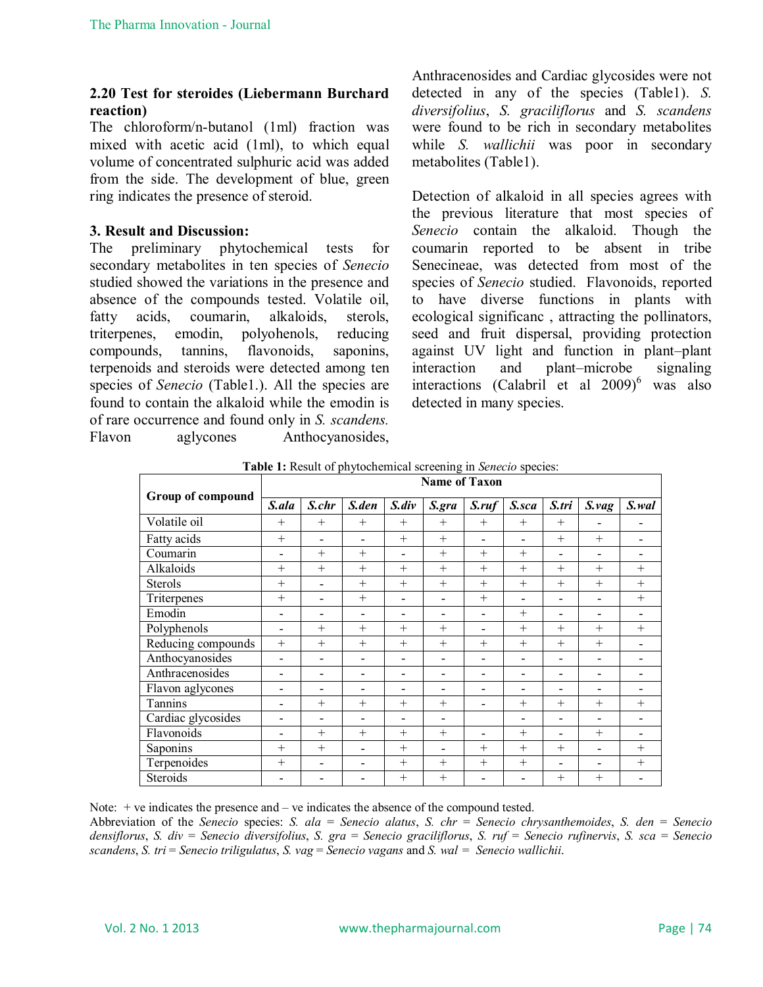# **2.20 Test for steroides (Liebermann Burchard reaction)**

The chloroform/n-butanol (1ml) fraction was mixed with acetic acid (1ml), to which equal volume of concentrated sulphuric acid was added from the side. The development of blue, green ring indicates the presence of steroid.

# **3. Result and Discussion:**

The preliminary phytochemical tests for secondary metabolites in ten species of *Senecio* studied showed the variations in the presence and absence of the compounds tested. Volatile oil, fatty acids, coumarin, alkaloids, sterols, triterpenes, emodin, polyohenols, reducing compounds, tannins, flavonoids, saponins, terpenoids and steroids were detected among ten species of *Senecio* (Table1.). All the species are found to contain the alkaloid while the emodin is of rare occurrence and found only in *S. scandens.* Flavon aglycones Anthocyanosides,

Anthracenosides and Cardiac glycosides were not detected in any of the species (Table1). *S. diversifolius*, *S. graciliflorus* and *S. scandens* were found to be rich in secondary metabolites while *S. wallichii* was poor in secondary metabolites (Table1).

Detection of alkaloid in all species agrees with the previous literature that most species of *Senecio* contain the alkaloid. Though the coumarin reported to be absent in tribe Senecineae, was detected from most of the species of *Senecio* studied. Flavonoids, reported to have diverse functions in plants with ecological significanc , attracting the pollinators, seed and fruit dispersal, providing protection against UV light and function in plant–plant interaction and plant–microbe signaling interactions (Calabril et al  $2009$ <sup>6</sup> was also detected in many species.

|                    | <b>Name of Taxon</b> |        |                          |                          |                          |                          |                          |                          |                          |        |  |
|--------------------|----------------------|--------|--------------------------|--------------------------|--------------------------|--------------------------|--------------------------|--------------------------|--------------------------|--------|--|
| Group of compound  | S.ala                | S.chr  | S.den                    | $S$ .div                 | S.gra                    | S. <i>ruf</i>            | S.sca                    | S.tri                    | $S_v$ vag                | S.wal  |  |
| Volatile oil       | $^{+}$               | $^{+}$ | $^{+}$                   | $+$                      | $+$                      | $+$                      | $+$                      | $^{+}$                   |                          |        |  |
| Fatty acids        | $^{+}$               |        |                          | $+$                      | $^{+}$                   | $\overline{a}$           |                          | $^{+}$                   | $+$                      |        |  |
| Coumarin           | $\overline{a}$       | $^{+}$ | $+$                      | $\overline{\phantom{a}}$ | $+$                      | $+$                      | $^{+}$                   | $\overline{\phantom{0}}$ | $\overline{\phantom{a}}$ |        |  |
| Alkaloids          | $^{+}$               | $+$    | $+$                      | $+$                      | $+$                      | $+$                      | $^{+}$                   | $^{+}$                   | $+$                      | $+$    |  |
| <b>Sterols</b>     | $^{+}$               |        | $+$                      | $+$                      | $+$                      | $^{+}$                   | $+$                      | $+$                      | $+$                      | $+$    |  |
| Triterpenes        | $^{+}$               |        | $+$                      | $\overline{\phantom{a}}$ | $\overline{\phantom{0}}$ | $+$                      |                          | $\overline{\phantom{0}}$ | $\overline{\phantom{a}}$ | $^{+}$ |  |
| Emodin             |                      |        |                          | $\overline{a}$           |                          | -                        | $^{+}$                   | $\overline{a}$           |                          |        |  |
| Polyphenols        | $\overline{a}$       | $+$    | $+$                      | $+$                      | $+$                      | -                        | $^{+}$                   | $+$                      | $+$                      | $+$    |  |
| Reducing compounds | $+$                  | $+$    | $^{+}$                   | $^{+}$                   | $+$                      | $+$                      | $+$                      | $+$                      | $+$                      |        |  |
| Anthocyanosides    | $\blacksquare$       |        | $\overline{\phantom{0}}$ | $\overline{\phantom{a}}$ | $\overline{\phantom{0}}$ | $\overline{\phantom{0}}$ | $\overline{\phantom{0}}$ | $\overline{a}$           | $\overline{\phantom{0}}$ |        |  |
| Anthracenosides    | -                    |        |                          | $\overline{\phantom{a}}$ | $\overline{\phantom{0}}$ | -                        | -                        | $\overline{\phantom{0}}$ | $\overline{\phantom{a}}$ |        |  |
| Flavon aglycones   |                      |        |                          | $\overline{\phantom{a}}$ |                          | -                        |                          |                          |                          |        |  |
| Tannins            | $\overline{a}$       | $+$    | $+$                      | $+$                      | $+$                      | -                        | $^{+}$                   | $+$                      | $+$                      | $+$    |  |
| Cardiac glycosides |                      |        |                          | $\blacksquare$           |                          |                          |                          | $\blacksquare$           |                          |        |  |
| Flavonoids         |                      | $+$    | $+$                      | $+$                      | $+$                      | -                        | $^{+}$                   | $\overline{a}$           | $+$                      |        |  |
| Saponins           | $+$                  | $+$    | $\overline{\phantom{0}}$ | $+$                      | $\overline{a}$           | $+$                      | $^{+}$                   | $+$                      | $\overline{\phantom{0}}$ | $+$    |  |
| Terpenoides        | $+$                  |        |                          | $+$                      | $+$                      | $+$                      | $^{+}$                   | $\overline{a}$           |                          | $^{+}$ |  |
| <b>Steroids</b>    |                      |        |                          | $+$                      | $^{+}$                   |                          |                          | $^{+}$                   | $+$                      |        |  |

**Table 1:** Result of phytochemical screening in *Senecio* species:

Note: + ve indicates the presence and – ve indicates the absence of the compound tested.

Abbreviation of the *Senecio* species: *S. ala* = *Senecio alatus*, *S. chr* = *Senecio chrysanthemoides*, *S. den* = *Senecio densiflorus*, *S. div* = *Senecio diversifolius*, *S. gra* = *Senecio graciliflorus*, *S. ruf* = *Senecio rufinervis*, *S. sca* = *Senecio scandens*, *S. tri* = *Senecio triligulatus*, *S. vag* = *Senecio vagans* and *S. wal = Senecio wallichii*.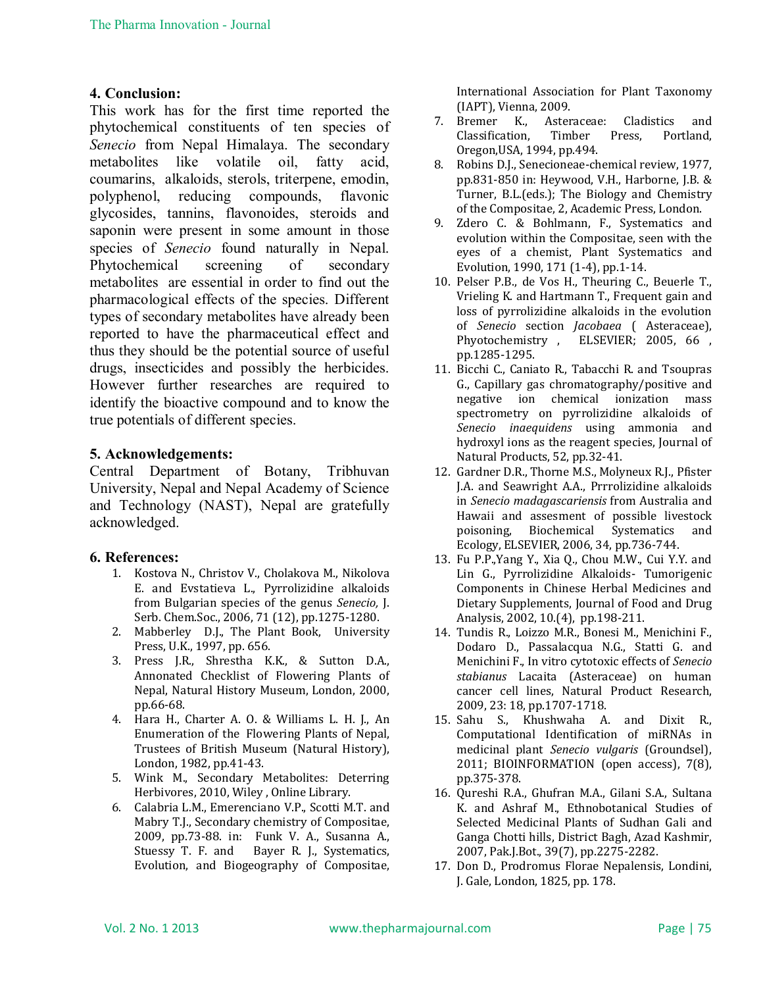#### **4. Conclusion:**

This work has for the first time reported the phytochemical constituents of ten species of *Senecio* from Nepal Himalaya. The secondary metabolites like volatile oil, fatty acid, coumarins, alkaloids, sterols, triterpene, emodin, polyphenol, reducing compounds, flavonic glycosides, tannins, flavonoides, steroids and saponin were present in some amount in those species of *Senecio* found naturally in Nepal. Phytochemical screening of secondary metabolites are essential in order to find out the pharmacological effects of the species. Different types of secondary metabolites have already been reported to have the pharmaceutical effect and thus they should be the potential source of useful drugs, insecticides and possibly the herbicides. However further researches are required to identify the bioactive compound and to know the true potentials of different species.

#### **5. Acknowledgements:**

Central Department of Botany, Tribhuvan University, Nepal and Nepal Academy of Science and Technology (NAST), Nepal are gratefully acknowledged.

#### **6. References:**

- 1. Kostova N., Christov V., Cholakova M., Nikolova E. and Evstatieva L., Pyrrolizidine alkaloids from Bulgarian species of the genus *Senecio,* J. Serb. Chem.Soc., 2006, 71 (12), pp.1275-1280.
- 2. Mabberley D.J., The Plant Book, University Press, U.K., 1997, pp. 656.
- 3. Press J.R., Shrestha K.K., & Sutton D.A., Annonated Checklist of Flowering Plants of Nepal, Natural History Museum, London, 2000, pp.66-68.
- 4. Hara H., Charter A. O. & Williams L. H. J., An Enumeration of the Flowering Plants of Nepal, Trustees of British Museum (Natural History), London, 1982, pp.41-43.
- 5. Wink M., Secondary Metabolites: Deterring Herbivores, 2010, Wiley , Online Library.
- 6. Calabria L.M., Emerenciano V.P., Scotti M.T. and Mabry T.J., Secondary chemistry of Compositae, 2009, pp.73-88. in: Funk V. A., Susanna A., Stuessy T. F. and Bayer R. J., Systematics, Evolution, and Biogeography of Compositae,

International Association for Plant Taxonomy (IAPT), Vienna, 2009.

- 7. Bremer K., Asteraceae: Cladistics and Classification, Timber Press, Portland, Oregon,USA, 1994, pp.494.
- 8. Robins D.J., Senecioneae-chemical review, 1977, pp.831-850 in: Heywood, V.H., Harborne, J.B. & Turner, B.L.(eds.); The Biology and Chemistry of the Compositae, 2, Academic Press, London.
- 9. Zdero C. & Bohlmann, F., Systematics and evolution within the Compositae, seen with the eyes of a chemist, Plant Systematics and Evolution, 1990, 171 (1-4), pp.1-14.
- 10. Pelser P.B., de Vos H., Theuring C., Beuerle T., Vrieling K. and Hartmann T., Frequent gain and loss of pyrrolizidine alkaloids in the evolution of *Senecio* section *Jacobaea* ( Asteraceae), Phyotochemistry, ELSEVIER; 2005, 66, pp.1285-1295.
- 11. Bicchi C., Caniato R., Tabacchi R. and Tsoupras G., Capillary gas chromatography/positive and negative ion chemical ionization mass spectrometry on pyrrolizidine alkaloids of *Senecio inaequidens* using ammonia and hydroxyl ions as the reagent species, Journal of Natural Products, 52, pp.32-41.
- 12. Gardner D.R., Thorne M.S., Molyneux R.J., Pfister J.A. and Seawright A.A., Prrrolizidine alkaloids in *Senecio madagascariensis* from Australia and Hawaii and assesment of possible livestock poisoning, Biochemical Systematics and Ecology, ELSEVIER, 2006, 34, pp.736-744.
- 13. Fu P.P.,Yang Y., Xia Q., Chou M.W., Cui Y.Y. and Lin G., Pyrrolizidine Alkaloids- Tumorigenic Components in Chinese Herbal Medicines and Dietary Supplements, Journal of Food and Drug Analysis, 2002, 10.(4), pp.198-211.
- 14. Tundis R., Loizzo M.R., Bonesi M., Menichini F., Dodaro D., Passalacqua N.G., Statti G. and Menichini F., In vitro cytotoxic effects of *Senecio stabianus* Lacaita (Asteraceae) on human cancer cell lines, Natural Product Research, 2009, 23: 18, pp.1707-1718.
- 15. Sahu S., Khushwaha A. and Dixit R., Computational Identification of miRNAs in medicinal plant *Senecio vulgaris* (Groundsel), 2011; BIOINFORMATION (open access), 7(8), pp.375-378.
- 16. Qureshi R.A., Ghufran M.A., Gilani S.A., Sultana K. and Ashraf M., Ethnobotanical Studies of Selected Medicinal Plants of Sudhan Gali and Ganga Chotti hills, District Bagh, Azad Kashmir, 2007, Pak.J.Bot., 39(7), pp.2275-2282.
- 17. Don D., Prodromus Florae Nepalensis, Londini, J. Gale, London, 1825, pp. 178.